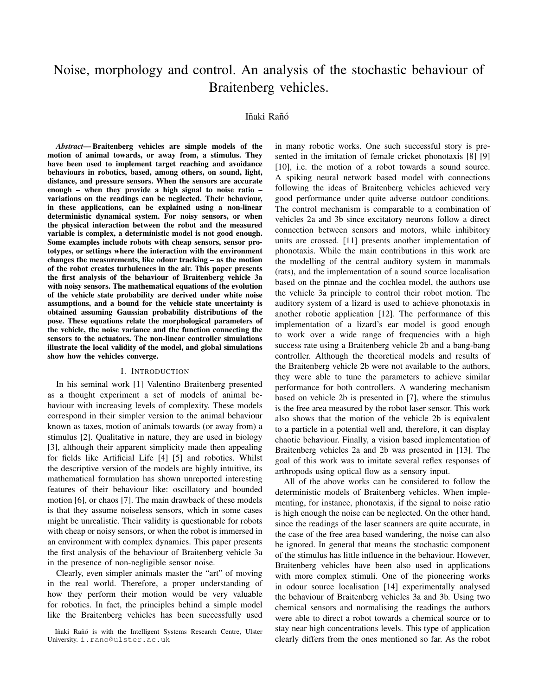# Noise, morphology and control. An analysis of the stochastic behaviour of Braitenberg vehicles.

# Iñaki Rañó

*Abstract*— Braitenberg vehicles are simple models of the motion of animal towards, or away from, a stimulus. They have been used to implement target reaching and avoidance behaviours in robotics, based, among others, on sound, light, distance, and pressure sensors. When the sensors are accurate enough – when they provide a high signal to noise ratio – variations on the readings can be neglected. Their behaviour, in these applications, can be explained using a non-linear deterministic dynamical system. For noisy sensors, or when the physical interaction between the robot and the measured variable is complex, a deterministic model is not good enough. Some examples include robots with cheap sensors, sensor prototypes, or settings where the interaction with the environment changes the measurements, like odour tracking – as the motion of the robot creates turbulences in the air. This paper presents the first analysis of the behaviour of Braitenberg vehicle 3a with noisy sensors. The mathematical equations of the evolution of the vehicle state probability are derived under white noise assumptions, and a bound for the vehicle state uncertainty is obtained assuming Gaussian probability distributions of the pose. These equations relate the morphological parameters of the vehicle, the noise variance and the function connecting the sensors to the actuators. The non-linear controller simulations illustrate the local validity of the model, and global simulations show how the vehicles converge.

### I. INTRODUCTION

In his seminal work [1] Valentino Braitenberg presented as a thought experiment a set of models of animal behaviour with increasing levels of complexity. These models correspond in their simpler version to the animal behaviour known as taxes, motion of animals towards (or away from) a stimulus [2]. Qualitative in nature, they are used in biology [3], although their apparent simplicity made then appealing for fields like Artificial Life [4] [5] and robotics. Whilst the descriptive version of the models are highly intuitive, its mathematical formulation has shown unreported interesting features of their behaviour like: oscillatory and bounded motion [6], or chaos [7]. The main drawback of these models is that they assume noiseless sensors, which in some cases might be unrealistic. Their validity is questionable for robots with cheap or noisy sensors, or when the robot is immersed in an environment with complex dynamics. This paper presents the first analysis of the behaviour of Braitenberg vehicle 3a in the presence of non-negligible sensor noise.

Clearly, even simpler animals master the "art" of moving in the real world. Therefore, a proper understanding of how they perform their motion would be very valuable for robotics. In fact, the principles behind a simple model like the Braitenberg vehicles has been successfully used

in many robotic works. One such successful story is presented in the imitation of female cricket phonotaxis [8] [9] [10], i.e. the motion of a robot towards a sound source. A spiking neural network based model with connections following the ideas of Braitenberg vehicles achieved very good performance under quite adverse outdoor conditions. The control mechanism is comparable to a combination of vehicles 2a and 3b since excitatory neurons follow a direct connection between sensors and motors, while inhibitory units are crossed. [11] presents another implementation of phonotaxis. While the main contributions in this work are the modelling of the central auditory system in mammals (rats), and the implementation of a sound source localisation based on the pinnae and the cochlea model, the authors use the vehicle 3a principle to control their robot motion. The auditory system of a lizard is used to achieve phonotaxis in another robotic application [12]. The performance of this implementation of a lizard's ear model is good enough to work over a wide range of frequencies with a high success rate using a Braitenberg vehicle 2b and a bang-bang controller. Although the theoretical models and results of the Braitenberg vehicle 2b were not available to the authors, they were able to tune the parameters to achieve similar performance for both controllers. A wandering mechanism based on vehicle 2b is presented in [7], where the stimulus is the free area measured by the robot laser sensor. This work also shows that the motion of the vehicle 2b is equivalent to a particle in a potential well and, therefore, it can display chaotic behaviour. Finally, a vision based implementation of Braitenberg vehicles 2a and 2b was presented in [13]. The goal of this work was to imitate several reflex responses of arthropods using optical flow as a sensory input.

All of the above works can be considered to follow the deterministic models of Braitenberg vehicles. When implementing, for instance, phonotaxis, if the signal to noise ratio is high enough the noise can be neglected. On the other hand, since the readings of the laser scanners are quite accurate, in the case of the free area based wandering, the noise can also be ignored. In general that means the stochastic component of the stimulus has little influence in the behaviour. However, Braitenberg vehicles have been also used in applications with more complex stimuli. One of the pioneering works in odour source localisation [14] experimentally analysed the behaviour of Braitenberg vehicles 3a and 3b. Using two chemical sensors and normalising the readings the authors were able to direct a robot towards a chemical source or to stay near high concentrations levels. This type of application clearly differs from the ones mentioned so far. As the robot

Iñaki Rañó is with the Intelligent Systems Research Centre, Ulster University. i.rano@ulster.ac.uk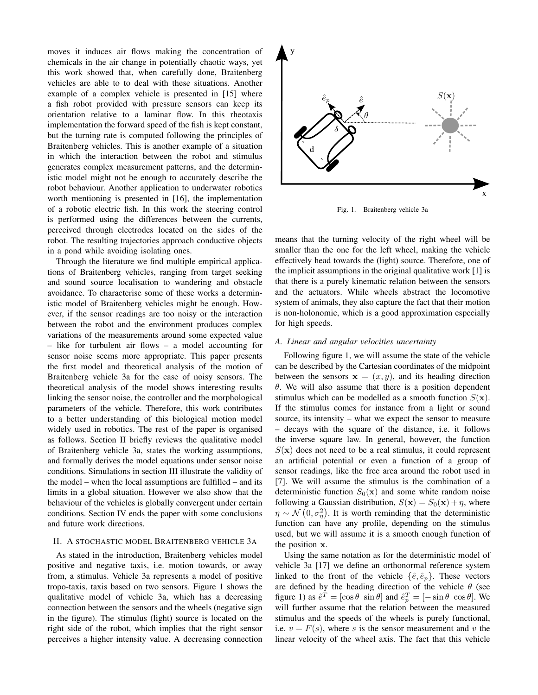moves it induces air flows making the concentration of chemicals in the air change in potentially chaotic ways, yet this work showed that, when carefully done, Braitenberg vehicles are able to to deal with these situations. Another example of a complex vehicle is presented in [15] where a fish robot provided with pressure sensors can keep its orientation relative to a laminar flow. In this rheotaxis implementation the forward speed of the fish is kept constant, but the turning rate is computed following the principles of Braitenberg vehicles. This is another example of a situation in which the interaction between the robot and stimulus generates complex measurement patterns, and the deterministic model might not be enough to accurately describe the robot behaviour. Another application to underwater robotics worth mentioning is presented in [16], the implementation of a robotic electric fish. In this work the steering control is performed using the differences between the currents, perceived through electrodes located on the sides of the robot. The resulting trajectories approach conductive objects in a pond while avoiding isolating ones.

Through the literature we find multiple empirical applications of Braitenberg vehicles, ranging from target seeking and sound source localisation to wandering and obstacle avoidance. To characterise some of these works a deterministic model of Braitenberg vehicles might be enough. However, if the sensor readings are too noisy or the interaction between the robot and the environment produces complex variations of the measurements around some expected value – like for turbulent air flows – a model accounting for sensor noise seems more appropriate. This paper presents the first model and theoretical analysis of the motion of Braitenberg vehicle 3a for the case of noisy sensors. The theoretical analysis of the model shows interesting results linking the sensor noise, the controller and the morphological parameters of the vehicle. Therefore, this work contributes to a better understanding of this biological motion model widely used in robotics. The rest of the paper is organised as follows. Section II briefly reviews the qualitative model of Braitenberg vehicle 3a, states the working assumptions, and formally derives the model equations under sensor noise conditions. Simulations in section III illustrate the validity of the model – when the local assumptions are fulfilled – and its limits in a global situation. However we also show that the behaviour of the vehicles is globally convergent under certain conditions. Section IV ends the paper with some conclusions and future work directions.

## II. A STOCHASTIC MODEL BRAITENBERG VEHICLE 3A

As stated in the introduction, Braitenberg vehicles model positive and negative taxis, i.e. motion towards, or away from, a stimulus. Vehicle 3a represents a model of positive tropo-taxis, taxis based on two sensors. Figure 1 shows the qualitative model of vehicle 3a, which has a decreasing connection between the sensors and the wheels (negative sign in the figure). The stimulus (light) source is located on the right side of the robot, which implies that the right sensor perceives a higher intensity value. A decreasing connection



Fig. 1. Braitenberg vehicle 3a

means that the turning velocity of the right wheel will be smaller than the one for the left wheel, making the vehicle effectively head towards the (light) source. Therefore, one of the implicit assumptions in the original qualitative work [1] is that there is a purely kinematic relation between the sensors and the actuators. While wheels abstract the locomotive system of animals, they also capture the fact that their motion is non-holonomic, which is a good approximation especially for high speeds.

## *A. Linear and angular velocities uncertainty*

Following figure 1, we will assume the state of the vehicle can be described by the Cartesian coordinates of the midpoint between the sensors  $x = (x, y)$ , and its heading direction  $\theta$ . We will also assume that there is a position dependent stimulus which can be modelled as a smooth function  $S(\mathbf{x})$ . If the stimulus comes for instance from a light or sound source, its intensity – what we expect the sensor to measure – decays with the square of the distance, i.e. it follows the inverse square law. In general, however, the function  $S(\mathbf{x})$  does not need to be a real stimulus, it could represent an artificial potential or even a function of a group of sensor readings, like the free area around the robot used in [7]. We will assume the stimulus is the combination of a deterministic function  $S_0(\mathbf{x})$  and some white random noise following a Gaussian distribution,  $S(\mathbf{x}) = S_0(\mathbf{x}) + \eta$ , where  $\eta \sim \mathcal{N}\left(0, \sigma_{\eta}^2\right)$ . It is worth reminding that the deterministic function can have any profile, depending on the stimulus used, but we will assume it is a smooth enough function of the position x.

Using the same notation as for the deterministic model of vehicle 3a [17] we define an orthonormal reference system linked to the front of the vehicle  $\{\hat{e}, \hat{e}_p\}$ . These vectors are defined by the heading direction of the vehicle  $\theta$  (see figure 1) as  $\hat{e}^T = [\cos \theta \sin \theta]$  and  $\hat{e}_p^T = [-\sin \theta \cos \theta]$ . We will further assume that the relation between the measured stimulus and the speeds of the wheels is purely functional, i.e.  $v = F(s)$ , where s is the sensor measurement and v the linear velocity of the wheel axis. The fact that this vehicle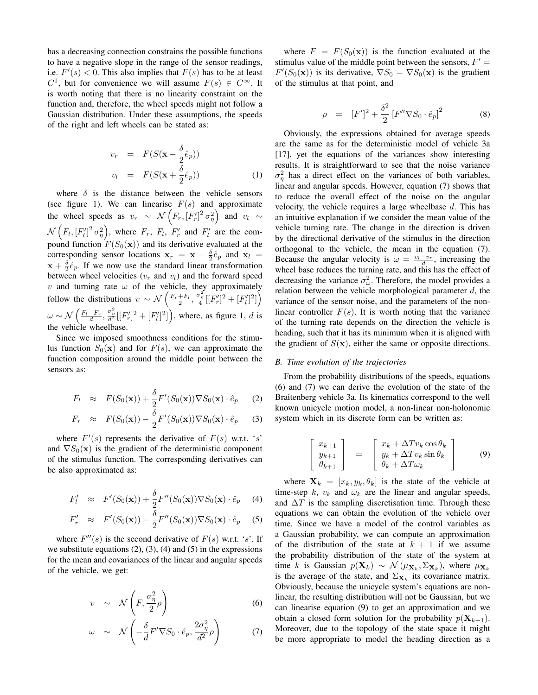has a decreasing connection constrains the possible functions to have a negative slope in the range of the sensor readings, i.e.  $F'(s) < 0$ . This also implies that  $F(s)$  has to be at least  $C^1$ , but for convenience we will assume  $F(s) \in C^{\infty}$ . It is worth noting that there is no linearity constraint on the function and, therefore, the wheel speeds might not follow a Gaussian distribution. Under these assumptions, the speeds of the right and left wheels can be stated as:

$$
v_r = F(S(\mathbf{x} - \frac{\delta}{2}\hat{e}_p))
$$
  
\n
$$
v_l = F(S(\mathbf{x} + \frac{\delta}{2}\hat{e}_p))
$$
\n(1)

where  $\delta$  is the distance between the vehicle sensors (see figure 1). We can linearise  $F(s)$  and approximate the wheel speeds as  $v_r \sim \mathcal{N}\left(F_r, [F'_r]^2 \sigma_\eta^2\right)$  and  $v_l \sim$  $\mathcal{N}\left(F_l, \left[F_l'\right]^2 \sigma_\eta^2\right)$ , where  $F_r, F_l, F_r'$  and  $F_l'$  are the compound function  $F(S_0(\mathbf{x}))$  and its derivative evaluated at the corresponding sensor locations  $\mathbf{x}_r = \mathbf{x} - \frac{\delta}{2} \hat{e}_p$  and  $\mathbf{x}_l =$  $\mathbf{x} + \frac{\delta}{2} \hat{e}_p$ . If we now use the standard linear transformation between wheel velocities  $(v_r$  and  $v_l$ ) and the forward speed v and turning rate  $\omega$  of the vehicle, they approximately follow the distributions  $v \sim \mathcal{N}\left(\frac{F_r+F_l}{2}, \frac{\sigma_\eta^2}{4}[[F_r']^2 + [F_l']^2]\right)$  $\omega \sim \mathcal{N}\left(\frac{F_l - F_r}{d}, \frac{\sigma_n^2}{d^2}[[F_r']^2 + [F_l']^2]\right)$ , where, as figure 1, d is the vehicle wheelbase.

Since we imposed smoothness conditions for the stimulus function  $S_0(\mathbf{x})$  and for  $F(s)$ , we can approximate the function composition around the middle point between the sensors as:

$$
F_l \approx F(S_0(\mathbf{x})) + \frac{\delta}{2} F'(S_0(\mathbf{x})) \nabla S_0(\mathbf{x}) \cdot \hat{e}_p \qquad (2)
$$

$$
F_r \approx F(S_0(\mathbf{x})) - \frac{\delta}{2} F'(S_0(\mathbf{x})) \nabla S_0(\mathbf{x}) \cdot \hat{e}_p \qquad (3)
$$

where  $F'(s)$  represents the derivative of  $F(s)$  w.r.t. 's' and  $\nabla S_0(\mathbf{x})$  is the gradient of the deterministic component of the stimulus function. The corresponding derivatives can be also approximated as:

$$
F'_{l} \approx F'(S_{0}(\mathbf{x})) + \frac{\delta}{2}F''(S_{0}(\mathbf{x}))\nabla S_{0}(\mathbf{x}) \cdot \hat{e}_{p} \quad (4)
$$

$$
F'_{r} \approx F'(S_0(\mathbf{x})) - \frac{\delta}{2} F''(S_0(\mathbf{x})) \nabla S_0(\mathbf{x}) \cdot \hat{e}_p \quad (5)
$$

where  $F''(s)$  is the second derivative of  $F(s)$  w.r.t. 's'. If we substitute equations  $(2)$ ,  $(3)$ ,  $(4)$  and  $(5)$  in the expressions for the mean and covariances of the linear and angular speeds of the vehicle, we get:

$$
v \sim \mathcal{N}\left(F, \frac{\sigma_{\eta}^2}{2}\rho\right) \tag{6}
$$

$$
\omega \sim \mathcal{N}\left(-\frac{\delta}{d}F'\nabla S_0 \cdot \hat{e}_p, \frac{2\sigma_\eta^2}{d^2}\rho\right) \tag{7}
$$

where  $F = F(S_0(\mathbf{x}))$  is the function evaluated at the stimulus value of the middle point between the sensors,  $F' =$  $F'(S_0(\mathbf{x}))$  is its derivative,  $\nabla S_0 = \nabla S_0(\mathbf{x})$  is the gradient of the stimulus at that point, and

$$
\rho = [F']^{2} + \frac{\delta^{2}}{2} [F'' \nabla S_{0} \cdot \hat{e}_{p}]^{2}
$$
 (8)

Obviously, the expressions obtained for average speeds are the same as for the deterministic model of vehicle 3a [17], yet the equations of the variances show interesting results. It is straightforward to see that the noise variance  $\sigma_{\eta}^2$  has a direct effect on the variances of both variables, linear and angular speeds. However, equation (7) shows that to reduce the overall effect of the noise on the angular velocity, the vehicle requires a large wheelbase  $d$ . This has an intuitive explanation if we consider the mean value of the vehicle turning rate. The change in the direction is driven by the directional derivative of the stimulus in the direction orthogonal to the vehicle, the mean in the equation (7). Because the angular velocity is  $\omega = \frac{v_l - v_r}{d}$ , increasing the wheel base reduces the turning rate, and this has the effect of decreasing the variance  $\sigma_{\omega}^2$ . Therefore, the model provides a relation between the vehicle morphological parameter  $d$ , the variance of the sensor noise, and the parameters of the nonlinear controller  $F(s)$ . It is worth noting that the variance of the turning rate depends on the direction the vehicle is heading, such that it has its minimum when it is aligned with the gradient of  $S(\mathbf{x})$ , either the same or opposite directions.

# *B. Time evolution of the trajectories*

From the probability distributions of the speeds, equations (6) and (7) we can derive the evolution of the state of the Braitenberg vehicle 3a. Its kinematics correspond to the well known unicycle motion model, a non-linear non-holonomic system which in its discrete form can be written as:

$$
\begin{bmatrix} x_{k+1} \\ y_{k+1} \\ \theta_{k+1} \end{bmatrix} = \begin{bmatrix} x_k + \Delta T v_k \cos \theta_k \\ y_k + \Delta T v_k \sin \theta_k \\ \theta_k + \Delta T \omega_k \end{bmatrix}
$$
(9)

where  $\mathbf{X}_k = [x_k, y_k, \theta_k]$  is the state of the vehicle at time-step k,  $v_k$  and  $\omega_k$  are the linear and angular speeds, and  $\Delta T$  is the sampling discretisation time. Through these equations we can obtain the evolution of the vehicle over time. Since we have a model of the control variables as a Gaussian probability, we can compute an approximation of the distribution of the state at  $k + 1$  if we assume the probability distribution of the state of the system at time k is Gaussian  $p(\mathbf{X}_k) \sim \mathcal{N}(\mu_{\mathbf{X}_k}, \Sigma_{\mathbf{X}_k})$ , where  $\mu_{\mathbf{X}_k}$ is the average of the state, and  $\Sigma_{\mathbf{X}_k}$  its covariance matrix. Obviously, because the unicycle system's equations are nonlinear, the resulting distribution will not be Gaussian, but we can linearise equation (9) to get an approximation and we obtain a closed form solution for the probability  $p(\mathbf{X}_{k+1})$ . Moreover, due to the topology of the state space it might be more appropriate to model the heading direction as a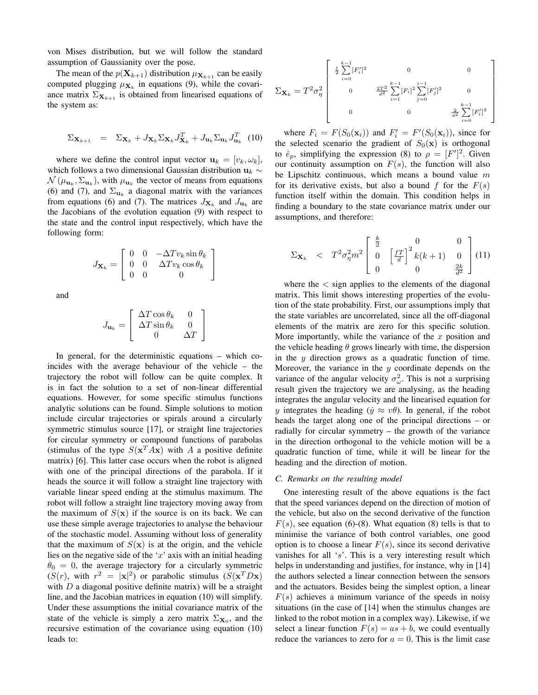von Mises distribution, but we will follow the standard assumption of Gaussianity over the pose.

The mean of the  $p(\mathbf{X}_{k+1})$  distribution  $\mu_{\mathbf{X}_{k+1}}$  can be easily computed plugging  $\mu_{\mathbf{X}_k}$  in equations (9), while the covariance matrix  $\Sigma_{\mathbf{X}_{k+1}}$  is obtained from linearised equations of the system as:

$$
\Sigma_{\mathbf{X}_{k+1}} = \Sigma_{\mathbf{X}_k} + J_{\mathbf{X}_k} \Sigma_{\mathbf{X}_k} J_{\mathbf{X}_k}^T + J_{\mathbf{u}_k} \Sigma_{\mathbf{u}_k} J_{\mathbf{u}_k}^T
$$
 (10)

where we define the control input vector  $\mathbf{u}_k = [v_k, \omega_k]$ , which follows a two dimensional Gaussian distribution  $\mathbf{u}_k \sim$  $\mathcal{N}(\mu_{\mathbf{u}_k}, \Sigma_{\mathbf{u}_k})$ , with  $\mu_{\mathbf{u}_k}$  the vector of means from equations (6) and (7), and  $\Sigma_{\mathbf{u}_k}$  a diagonal matrix with the variances from equations (6) and (7). The matrices  $J_{\mathbf{X}_k}$  and  $J_{\mathbf{u}_k}$  are the Jacobians of the evolution equation (9) with respect to the state and the control input respectively, which have the following form:

$$
J_{\mathbf{X}_k} = \left[ \begin{array}{ccc} 0 & 0 & -\Delta T v_k \sin \theta_k \\ 0 & 0 & \Delta T v_k \cos \theta_k \\ 0 & 0 & 0 \end{array} \right]
$$

and

$$
J_{\mathbf{u}_k} = \left[ \begin{array}{cc} \Delta T \cos \theta_k & 0 \\ \Delta T \sin \theta_k & 0 \\ 0 & \Delta T \end{array} \right]
$$

In general, for the deterministic equations – which coincides with the average behaviour of the vehicle – the trajectory the robot will follow can be quite complex. It is in fact the solution to a set of non-linear differential equations. However, for some specific stimulus functions analytic solutions can be found. Simple solutions to motion include circular trajectories or spirals around a circularly symmetric stimulus source [17], or straight line trajectories for circular symmetry or compound functions of parabolas (stimulus of the type  $S(\mathbf{x}^T A \mathbf{x})$  with A a positive definite matrix) [6]. This latter case occurs when the robot is aligned with one of the principal directions of the parabola. If it heads the source it will follow a straight line trajectory with variable linear speed ending at the stimulus maximum. The robot will follow a straight line trajectory moving away from the maximum of  $S(\mathbf{x})$  if the source is on its back. We can use these simple average trajectories to analyse the behaviour of the stochastic model. Assuming without loss of generality that the maximum of  $S(\mathbf{x})$  is at the origin, and the vehicle lies on the negative side of the ' $x$ ' axis with an initial heading  $\theta_0 = 0$ , the average trajectory for a circularly symmetric  $(S(r))$ , with  $r^2 = |\mathbf{x}|^2$  or parabolic stimulus  $(S(\mathbf{x}^T D \mathbf{x}))$ with  $D$  a diagonal positive definite matrix) will be a straight line, and the Jacobian matrices in equation (10) will simplify. Under these assumptions the initial covariance matrix of the state of the vehicle is simply a zero matrix  $\Sigma_{\mathbf{X}_0}$ , and the recursive estimation of the covariance using equation (10) leads to:

$$
\Sigma_{\mathbf{X}_{k}} = T^{2} \sigma_{\eta}^{2} \begin{bmatrix} \frac{1}{2} \sum_{i=0}^{k-1} [F_{i}']^{2} & 0 & 0\\ 0 & \frac{2T^{2}}{d^{2}} \sum_{i=1}^{k-1} [F_{i}]^{2} \sum_{j=0}^{i-1} [F_{j}']^{2} & 0\\ 0 & 0 & \frac{2}{d^{2}} \sum_{i=0}^{k-1} [F_{i}']^{2} \end{bmatrix}
$$

where  $F_i = F(S_0(\mathbf{x}_i))$  and  $F'_i = F'(S_0(\mathbf{x}_i))$ , since for the selected scenario the gradient of  $S_0(\mathbf{x})$  is orthogonal to  $\hat{e}_p$ , simplifying the expression (8) to  $\rho = [F']^2$ . Given our continuity assumption on  $F(s)$ , the function will also be Lipschitz continuous, which means a bound value  $m$ for its derivative exists, but also a bound f for the  $F(s)$ function itself within the domain. This condition helps in finding a boundary to the state covariance matrix under our assumptions, and therefore:

$$
\Sigma_{\mathbf{X}_{k}} \quad < \quad T^{2} \sigma_{\eta}^{2} m^{2} \left[ \begin{array}{c} \frac{k}{2} & 0 & 0\\ 0 & \left[ \frac{f^{T}}{d} \right]^{2} k(k+1) & 0\\ 0 & 0 & \frac{2k}{d^{2}} \end{array} \right] (11)
$$

where the  $\langle$  sign applies to the elements of the diagonal matrix. This limit shows interesting properties of the evolution of the state probability. First, our assumptions imply that the state variables are uncorrelated, since all the off-diagonal elements of the matrix are zero for this specific solution. More importantly, while the variance of the  $x$  position and the vehicle heading  $\theta$  grows linearly with time, the dispersion in the  $y$  direction grows as a quadratic function of time. Moreover, the variance in the  $y$  coordinate depends on the variance of the angular velocity  $\sigma_{\omega}^2$ . This is not a surprising result given the trajectory we are analysing, as the heading integrates the angular velocity and the linearised equation for y integrates the heading  $(\dot{y} \approx v\theta)$ . In general, if the robot heads the target along one of the principal directions – or radially for circular symmetry – the growth of the variance in the direction orthogonal to the vehicle motion will be a quadratic function of time, while it will be linear for the heading and the direction of motion.

## *C. Remarks on the resulting model*

One interesting result of the above equations is the fact that the speed variances depend on the direction of motion of the vehicle, but also on the second derivative of the function  $F(s)$ , see equation (6)-(8). What equation (8) tells is that to minimise the variance of both control variables, one good option is to choose a linear  $F(s)$ , since its second derivative vanishes for all 's'. This is a very interesting result which helps in understanding and justifies, for instance, why in [14] the authors selected a linear connection between the sensors and the actuators. Besides being the simplest option, a linear  $F(s)$  achieves a minimum variance of the speeds in noisy situations (in the case of [14] when the stimulus changes are linked to the robot motion in a complex way). Likewise, if we select a linear function  $F(s) = as + b$ , we could eventually reduce the variances to zero for  $a = 0$ . This is the limit case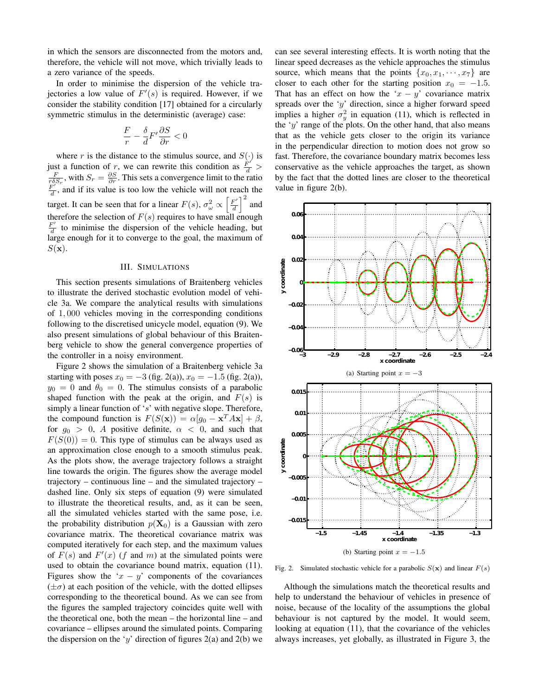in which the sensors are disconnected from the motors and, therefore, the vehicle will not move, which trivially leads to a zero variance of the speeds.

In order to minimise the dispersion of the vehicle trajectories a low value of  $F'(s)$  is required. However, if we consider the stability condition [17] obtained for a circularly symmetric stimulus in the deterministic (average) case:

$$
\frac{F}{r}-\frac{\delta}{d}F'\frac{\partial S}{\partial r}<0
$$

where r is the distance to the stimulus source, and  $S(\cdot)$  is just a function of r, we can rewrite this condition as  $\frac{\dot{F}'}{\tau \delta S_r}$ , with  $S_r = \frac{\partial S}{\partial r}$ . This sets a convergence limit to the ratio  $F'$  and if its value is too low the vehicle will not reach the  $\frac{d\mathbf{r}}{d}$ , and if its value is too low the vehicle will not reach the target. It can be seen that for a linear  $F(s)$ ,  $\sigma_{\omega}^2 \propto \left[\frac{F'}{d}\right]$  $\left[\frac{F'}{d}\right]^2$  and therefore the selection of  $F(s)$  requires to have small enough  $F'$  $\frac{d\mathbf{r}}{dt}$  to minimise the dispersion of the vehicle heading, but large enough for it to converge to the goal, the maximum of  $S(\mathbf{x})$ .

## III. SIMULATIONS

This section presents simulations of Braitenberg vehicles to illustrate the derived stochastic evolution model of vehicle 3a. We compare the analytical results with simulations of 1, 000 vehicles moving in the corresponding conditions following to the discretised unicycle model, equation (9). We also present simulations of global behaviour of this Braitenberg vehicle to show the general convergence properties of the controller in a noisy environment.

Figure 2 shows the simulation of a Braitenberg vehicle 3a starting with poses  $x_0 = -3$  (fig. 2(a)),  $x_0 = -1.5$  (fig. 2(a)),  $y_0 = 0$  and  $\theta_0 = 0$ . The stimulus consists of a parabolic shaped function with the peak at the origin, and  $F(s)$  is simply a linear function of 's' with negative slope. Therefore, the compound function is  $F(S(\mathbf{x})) = \alpha[g_0 - \mathbf{x}^T A \mathbf{x}] + \beta$ , for  $g_0 > 0$ , A positive definite,  $\alpha < 0$ , and such that  $F(S(0)) = 0$ . This type of stimulus can be always used as an approximation close enough to a smooth stimulus peak. As the plots show, the average trajectory follows a straight line towards the origin. The figures show the average model trajectory – continuous line – and the simulated trajectory – dashed line. Only six steps of equation (9) were simulated to illustrate the theoretical results, and, as it can be seen, all the simulated vehicles started with the same pose, i.e. the probability distribution  $p(X_0)$  is a Gaussian with zero covariance matrix. The theoretical covariance matrix was computed iteratively for each step, and the maximum values of  $F(s)$  and  $F'(x)$  (f and m) at the simulated points were used to obtain the covariance bound matrix, equation (11). Figures show the ' $x - y$ ' components of the covariances  $(\pm \sigma)$  at each position of the vehicle, with the dotted ellipses corresponding to the theoretical bound. As we can see from the figures the sampled trajectory coincides quite well with the theoretical one, both the mean – the horizontal line – and covariance – ellipses around the simulated points. Comparing the dispersion on the 'y' direction of figures  $2(a)$  and  $2(b)$  we can see several interesting effects. It is worth noting that the linear speed decreases as the vehicle approaches the stimulus source, which means that the points  $\{x_0, x_1, \dots, x_7\}$  are closer to each other for the starting position  $x_0 = -1.5$ . That has an effect on how the ' $x - y'$  covariance matrix spreads over the 'y' direction, since a higher forward speed implies a higher  $\sigma_y^2$  in equation (11), which is reflected in the 'y' range of the plots. On the other hand, that also means that as the vehicle gets closer to the origin its variance in the perpendicular direction to motion does not grow so fast. Therefore, the covariance boundary matrix becomes less conservative as the vehicle approaches the target, as shown by the fact that the dotted lines are closer to the theoretical value in figure 2(b).



Fig. 2. Simulated stochastic vehicle for a parabolic  $S(\mathbf{x})$  and linear  $F(s)$ 

Although the simulations match the theoretical results and help to understand the behaviour of vehicles in presence of noise, because of the locality of the assumptions the global behaviour is not captured by the model. It would seem, looking at equation (11), that the covariance of the vehicles always increases, yet globally, as illustrated in Figure 3, the